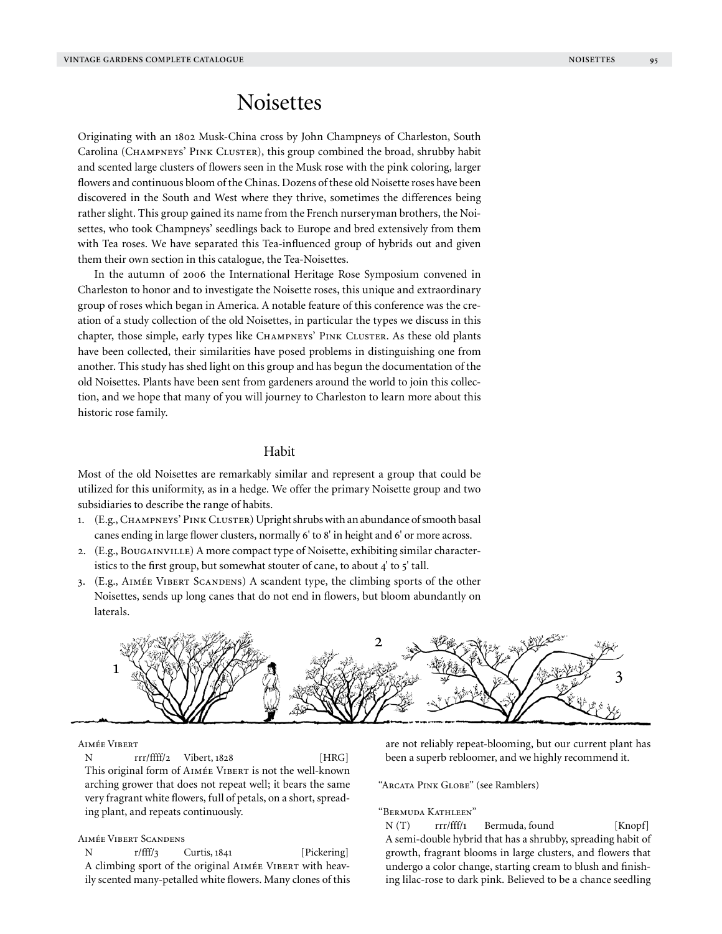# **Noisettes**

Originating with an 1802 Musk-China cross by John Champneys of Charleston, South Carolina (Champneys' Pink Cluster), this group combined the broad, shrubby habit and scented large clusters of flowers seen in the Musk rose with the pink coloring, larger flowers and continuous bloom of the Chinas. Dozens of these old Noisette roses have been discovered in the South and West where they thrive, sometimes the differences being rather slight. This group gained its name from the French nurseryman brothers, the Noisettes, who took Champneys' seedlings back to Europe and bred extensively from them with Tea roses. We have separated this Tea-influenced group of hybrids out and given them their own section in this catalogue, the Tea-Noisettes.

In the autumn of 2006 the International Heritage Rose Symposium convened in Charleston to honor and to investigate the Noisette roses, this unique and extraordinary group of roses which began in America. A notable feature of this conference was the creation of a study collection of the old Noisettes, in particular the types we discuss in this chapter, those simple, early types like CHAMPNEYS' PINK CLUSTER. As these old plants have been collected, their similarities have posed problems in distinguishing one from another. This study has shed light on this group and has begun the documentation of the old Noisettes. Plants have been sent from gardeners around the world to join this collection, and we hope that many of you will journey to Charleston to learn more about this historic rose family.

# Habit

Most of the old Noisettes are remarkably similar and represent a group that could be utilized for this uniformity, as in a hedge. We offer the primary Noisette group and two subsidiaries to describe the range of habits.

- 1. (E.g., CHAMPNEYS' PINK CLUSTER) Upright shrubs with an abundance of smooth basal canes ending in large flower clusters, normally 6' to 8' in height and 6' or more across.
- 2. (E.g., Bougainville) A more compact type of Noisette, exhibiting similar characteristics to the first group, but somewhat stouter of cane, to about  $4'$  to  $5'$  tall.
- 3. (E.g., Aimée Vibert Scandens) A scandent type, the climbing sports of the other Noisettes, sends up long canes that do not end in flowers, but bloom abundantly on laterals.



Aimée Vibert

N rrr/ffff/2 Vibert, 1828 [HRG] This original form of AIMÉE VIBERT is not the well-known arching grower that does not repeat well; it bears the same very fragrant white flowers, full of petals, on a short, spreading plant, and repeats continuously.

# Aimée Vibert Scandens

N r/fff/3 Curtis, 1841 [Pickering] A climbing sport of the original AIMÉE VIBERT with heavily scented many-petalled white flowers. Many clones of this are not reliably repeat-blooming, but our current plant has been a superb rebloomer, and we highly recommend it.

"Arcata Pink Globe" (see Ramblers)

#### "Bermuda Kathleen"

N (T) rrr/fff/1 Bermuda, found [Knopf] A semi-double hybrid that has a shrubby, spreading habit of growth, fragrant blooms in large clusters, and flowers that undergo a color change, starting cream to blush and finishing lilac-rose to dark pink. Believed to be a chance seedling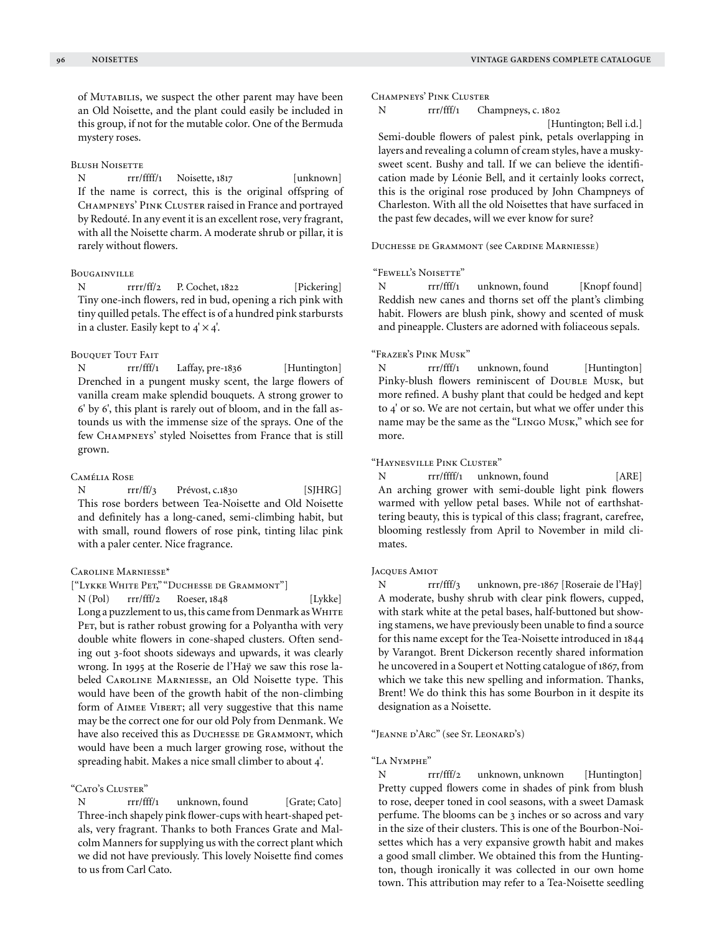of Mutabilis, we suspect the other parent may have been an Old Noisette, and the plant could easily be included in this group, if not for the mutable color. One of the Bermuda mystery roses.

#### **BLUSH NOISETTE**

N rrr/ffff/1 Noisette, 1817 [unknown] If the name is correct, this is the original offspring of Champneys' Pink Cluster raised in France and portrayed by Redouté. In any event it is an excellent rose, very fragrant, with all the Noisette charm. A moderate shrub or pillar, it is rarely without flowers.

## Bougainville

N rrrr/ff/2 P. Cochet, 1822 [Pickering] Tiny one-inch flowers, red in bud, opening a rich pink with tiny quilled petals. The effect is of a hundred pink starbursts in a cluster. Easily kept to  $4' \times 4'$ .

## BOUQUET TOUT FAIT

N rrr/fff/1 Laffay, pre-1836 [Huntington] Drenched in a pungent musky scent, the large flowers of vanilla cream make splendid bouquets. A strong grower to 6' by 6', this plant is rarely out of bloom, and in the fall astounds us with the immense size of the sprays. One of the few Champneys' styled Noisettes from France that is still grown.

#### Camélia Rose

N rrr/ff/3 Prévost, c.1830 [SIHRG] This rose borders between Tea-Noisette and Old Noisette and definitely has a long-caned, semi-climbing habit, but with small, round flowers of rose pink, tinting lilac pink with a paler center. Nice fragrance.

## Caroline Marniesse\*

#### ["Lykke White Pet," "Duchesse de Grammont"]

N (Pol) rrr/fff/2 Roeser, 1848 [Lykke] Long a puzzlement to us, this came from Denmark as WHITE PET, but is rather robust growing for a Polyantha with very double white flowers in cone-shaped clusters. Often sending out 3-foot shoots sideways and upwards, it was clearly wrong. In 1995 at the Roserie de l'Haÿ we saw this rose labeled Caroline Marniesse, an Old Noisette type. This would have been of the growth habit of the non-climbing form of AIMEE VIBERT; all very suggestive that this name may be the correct one for our old Poly from Denmank. We have also received this as DUCHESSE DE GRAMMONT, which would have been a much larger growing rose, without the spreading habit. Makes a nice small climber to about 4'.

## "Cato's Cluster"

N rrr/fff/1 unknown, found [Grate; Cato] Three-inch shapely pink flower-cups with heart-shaped petals, very fragrant. Thanks to both Frances Grate and Malcolm Manners for supplying us with the correct plant which we did not have previously. This lovely Noisette find comes to us from Carl Cato.

Champneys' Pink Cluster

N rrr/fff/1 Champneys, c. 1802

[Huntington; Bell i.d.]

Semi-double flowers of palest pink, petals overlapping in layers and revealing a column of cream styles, have a muskysweet scent. Bushy and tall. If we can believe the identification made by Léonie Bell, and it certainly looks correct, this is the original rose produced by John Champneys of Charleston. With all the old Noisettes that have surfaced in the past few decades, will we ever know for sure?

Duchesse de Grammont (see Cardine Marniesse)

#### "Fewell's Noisette"

N rrr/fff/1 unknown, found [Knopf found] Reddish new canes and thorns set off the plant's climbing habit. Flowers are blush pink, showy and scented of musk and pineapple. Clusters are adorned with foliaceous sepals.

## "Frazer's Pink Musk"

N rrr/fff/1 unknown, found [Huntington] Pinky-blush flowers reminiscent of DOUBLE MUSK, but more refined. A bushy plant that could be hedged and kept to 4' or so. We are not certain, but what we offer under this name may be the same as the "Lingo Musk," which see for more.

## "Haynesville Pink Cluster"

N rrr/ffff/1 unknown, found [ARE] An arching grower with semi-double light pink flowers warmed with yellow petal bases. While not of earthshattering beauty, this is typical of this class; fragrant, carefree, blooming restlessly from April to November in mild climates.

## Jacques Amiot

N rrr/fff/3 unknown, pre-1867 [Roseraie de l'Haÿ] A moderate, bushy shrub with clear pink flowers, cupped, with stark white at the petal bases, half-buttoned but showing stamens, we have previously been unable to find a source for this name except for the Tea-Noisette introduced in 1844 by Varangot. Brent Dickerson recently shared information he uncovered in a Soupert et Notting catalogue of 1867, from which we take this new spelling and information. Thanks, Brent! We do think this has some Bourbon in it despite its designation as a Noisette.

#### "Jeanne d'Arc" (see St. Leonard's)

#### "La Nymphe"

N rrr/fff/2 unknown, unknown [Huntington] Pretty cupped flowers come in shades of pink from blush to rose, deeper toned in cool seasons, with a sweet Damask perfume. The blooms can be 3 inches or so across and vary in the size of their clusters. This is one of the Bourbon-Noisettes which has a very expansive growth habit and makes a good small climber. We obtained this from the Huntington, though ironically it was collected in our own home town. This attribution may refer to a Tea-Noisette seedling